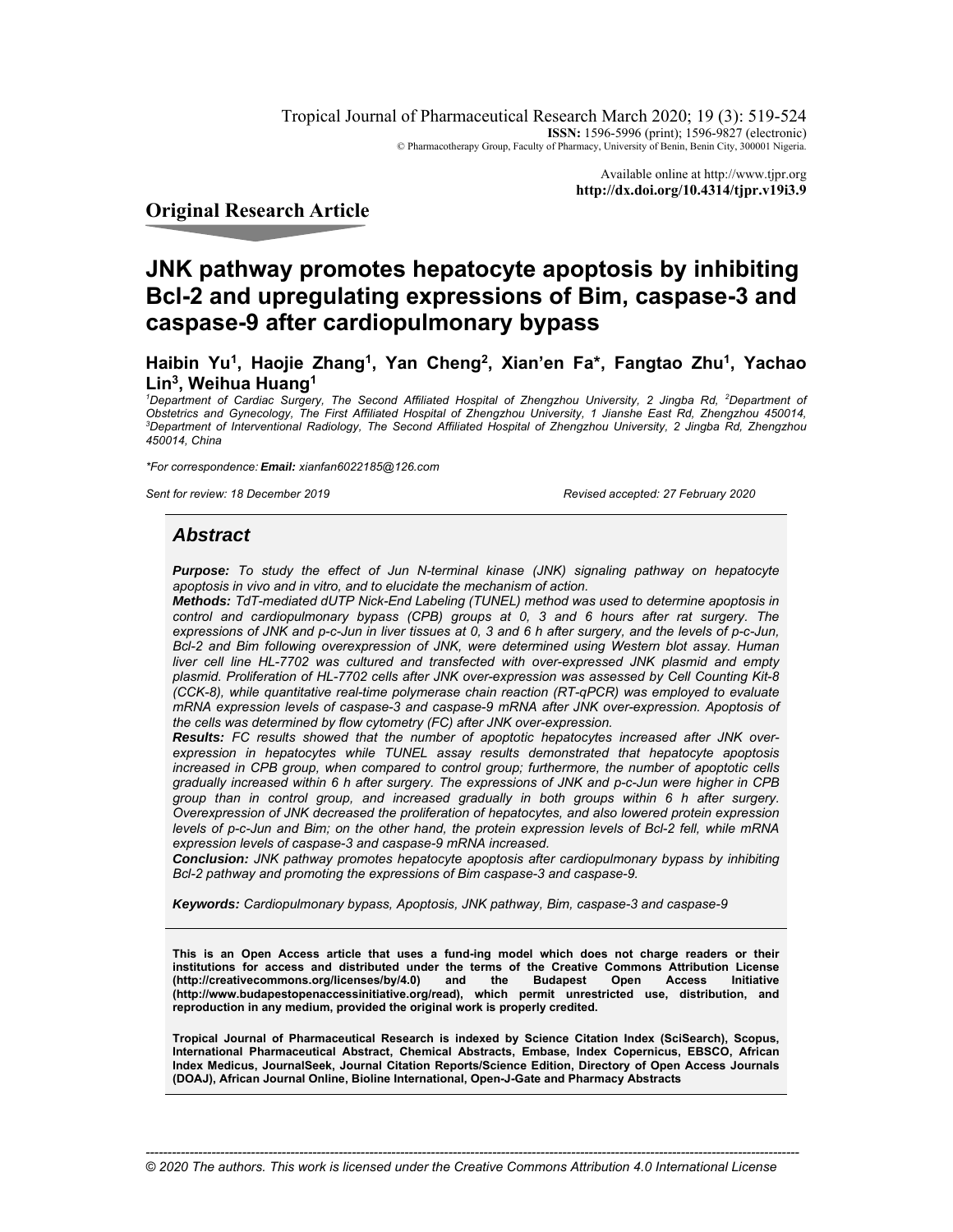Tropical Journal of Pharmaceutical Research March 2020; 19 (3): 519-524 **ISSN:** 1596-5996 (print); 1596-9827 (electronic) © Pharmacotherapy Group, Faculty of Pharmacy, University of Benin, Benin City, 300001 Nigeria.

> Available online at http://www.tjpr.org **http://dx.doi.org/10.4314/tjpr.v19i3.9**

**Original Research Article** 

# **JNK pathway promotes hepatocyte apoptosis by inhibiting Bcl-2 and upregulating expressions of Bim, caspase-3 and caspase-9 after cardiopulmonary bypass**

**Haibin Yu1, Haojie Zhang1, Yan Cheng2, Xian'en Fa\*, Fangtao Zhu1, Yachao Lin3, Weihua Huang1**

<sup>1</sup>Department of Cardiac Surgery, The Second Affiliated Hospital of Zhengzhou University, 2 Jingba Rd, <sup>2</sup>Department of *Obstetrics and Gynecology, The First Affiliated Hospital of Zhengzhou University, 1 Jianshe East Rd, Zhengzhou 450014, 3 Department of Interventional Radiology, The Second Affiliated Hospital of Zhengzhou University, 2 Jingba Rd, Zhengzhou 450014, China* 

*\*For correspondence: Email: xianfan6022185@126.com*

*Sent for review: 18 December 2019 Revised accepted: 27 February 2020*

# *Abstract*

*Purpose: To study the effect of Jun N-terminal kinase (JNK) signaling pathway on hepatocyte apoptosis in vivo and in vitro, and to elucidate the mechanism of action.* 

*Methods: TdT-mediated dUTP Nick-End Labeling (TUNEL) method was used to determine apoptosis in control and cardiopulmonary bypass (CPB) groups at 0, 3 and 6 hours after rat surgery. The expressions of JNK and p-c-Jun in liver tissues at 0, 3 and 6 h after surgery, and the levels of p-c-Jun, Bcl-2 and Bim following overexpression of JNK, were determined using Western blot assay. Human liver cell line HL-7702 was cultured and transfected with over-expressed JNK plasmid and empty plasmid. Proliferation of HL-7702 cells after JNK over-expression was assessed by Cell Counting Kit-8 (CCK-8), while quantitative real-time polymerase chain reaction (RT-qPCR) was employed to evaluate mRNA expression levels of caspase-3 and caspase-9 mRNA after JNK over-expression. Apoptosis of the cells was determined by flow cytometry (FC) after JNK over-expression.* 

*Results: FC results showed that the number of apoptotic hepatocytes increased after JNK overexpression in hepatocytes while TUNEL assay results demonstrated that hepatocyte apoptosis increased in CPB group, when compared to control group; furthermore, the number of apoptotic cells gradually increased within 6 h after surgery. The expressions of JNK and p-c-Jun were higher in CPB group than in control group, and increased gradually in both groups within 6 h after surgery. Overexpression of JNK decreased the proliferation of hepatocytes, and also lowered protein expression levels of p-c-Jun and Bim; on the other hand, the protein expression levels of Bcl-2 fell, while mRNA expression levels of caspase-3 and caspase-9 mRNA increased.* 

*Conclusion: JNK pathway promotes hepatocyte apoptosis after cardiopulmonary bypass by inhibiting Bcl-2 pathway and promoting the expressions of Bim caspase-3 and caspase-9.* 

*Keywords: Cardiopulmonary bypass, Apoptosis, JNK pathway, Bim, caspase-3 and caspase-9* 

**This is an Open Access article that uses a fund-ing model which does not charge readers or their institutions for access and distributed under the terms of the Creative Commons Attribution License**  (http://creativecommons.org/licenses/by/4.0) and the Budapest Open Access **(http://www.budapestopenaccessinitiative.org/read), which permit unrestricted use, distribution, and reproduction in any medium, provided the original work is properly credited.** 

**Tropical Journal of Pharmaceutical Research is indexed by Science Citation Index (SciSearch), Scopus, International Pharmaceutical Abstract, Chemical Abstracts, Embase, Index Copernicus, EBSCO, African Index Medicus, JournalSeek, Journal Citation Reports/Science Edition, Directory of Open Access Journals (DOAJ), African Journal Online, Bioline International, Open-J-Gate and Pharmacy Abstracts**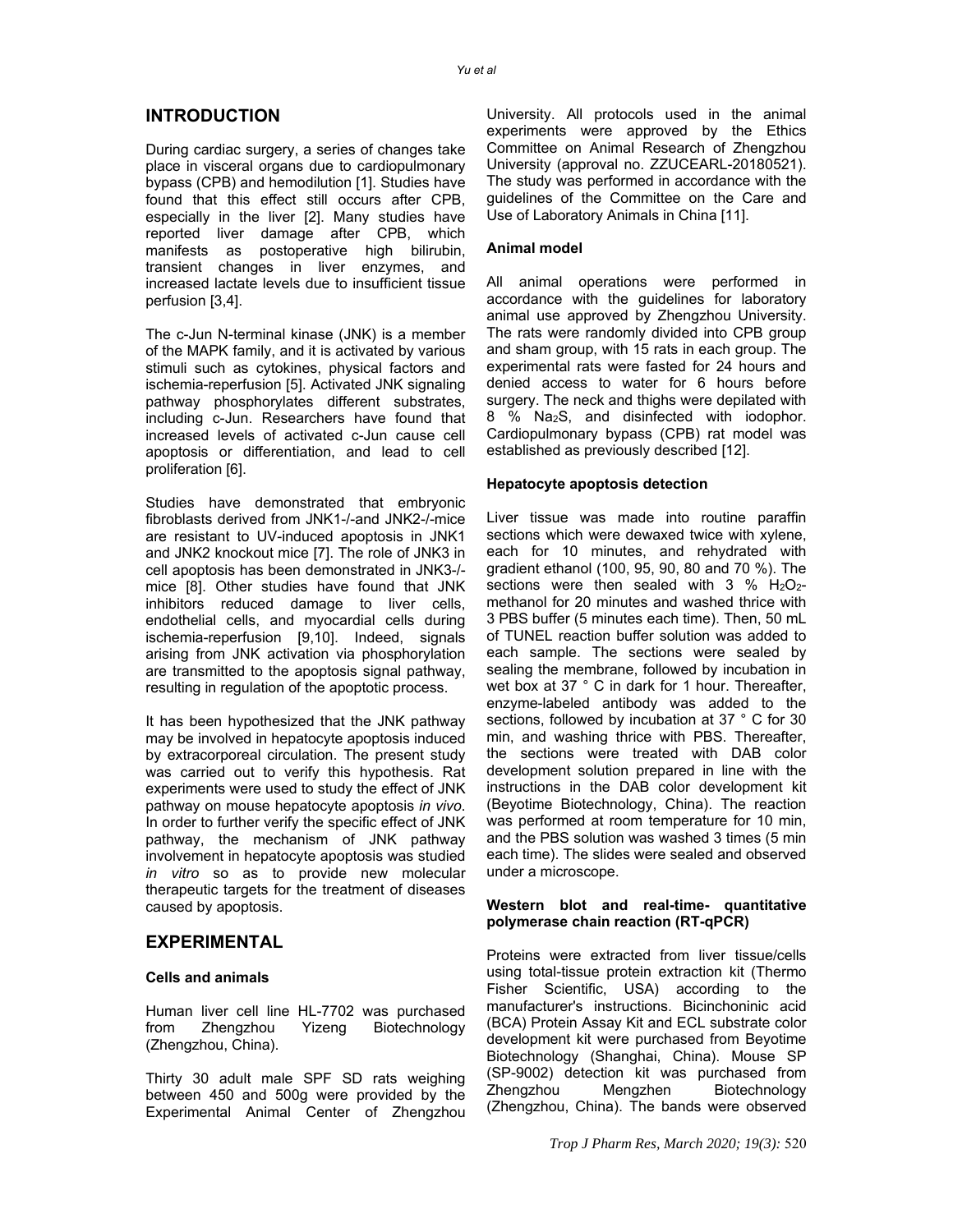# **INTRODUCTION**

During cardiac surgery, a series of changes take place in visceral organs due to cardiopulmonary bypass (CPB) and hemodilution [1]. Studies have found that this effect still occurs after CPB, especially in the liver [2]. Many studies have reported liver damage after CPB, which manifests as postoperative high bilirubin, transient changes in liver enzymes, and increased lactate levels due to insufficient tissue perfusion [3,4].

The c-Jun N-terminal kinase (JNK) is a member of the MAPK family, and it is activated by various stimuli such as cytokines, physical factors and ischemia-reperfusion [5]. Activated JNK signaling pathway phosphorylates different substrates, including c-Jun. Researchers have found that increased levels of activated c-Jun cause cell apoptosis or differentiation, and lead to cell proliferation [6].

Studies have demonstrated that embryonic fibroblasts derived from JNK1-/-and JNK2-/-mice are resistant to UV-induced apoptosis in JNK1 and JNK2 knockout mice [7]. The role of JNK3 in cell apoptosis has been demonstrated in JNK3-/ mice [8]. Other studies have found that JNK inhibitors reduced damage to liver cells, endothelial cells, and myocardial cells during ischemia-reperfusion [9,10]. Indeed, signals arising from JNK activation via phosphorylation are transmitted to the apoptosis signal pathway, resulting in regulation of the apoptotic process.

It has been hypothesized that the JNK pathway may be involved in hepatocyte apoptosis induced by extracorporeal circulation. The present study was carried out to verify this hypothesis. Rat experiments were used to study the effect of JNK pathway on mouse hepatocyte apoptosis *in vivo*. In order to further verify the specific effect of JNK pathway, the mechanism of JNK pathway involvement in hepatocyte apoptosis was studied *in vitro* so as to provide new molecular therapeutic targets for the treatment of diseases caused by apoptosis.

# **EXPERIMENTAL**

## **Cells and animals**

Human liver cell line HL-7702 was purchased from Zhengzhou Yizeng Biotechnology (Zhengzhou, China).

Thirty 30 adult male SPF SD rats weighing between 450 and 500g were provided by the Experimental Animal Center of Zhengzhou University. All protocols used in the animal experiments were approved by the Ethics Committee on Animal Research of Zhengzhou University (approval no. ZZUCEARL-20180521). The study was performed in accordance with the guidelines of the Committee on the Care and Use of Laboratory Animals in China [11].

## **Animal model**

All animal operations were performed in accordance with the guidelines for laboratory animal use approved by Zhengzhou University. The rats were randomly divided into CPB group and sham group, with 15 rats in each group. The experimental rats were fasted for 24 hours and denied access to water for 6 hours before surgery. The neck and thighs were depilated with 8 % Na2S, and disinfected with iodophor. Cardiopulmonary bypass (CPB) rat model was established as previously described [12].

## **Hepatocyte apoptosis detection**

Liver tissue was made into routine paraffin sections which were dewaxed twice with xylene, each for 10 minutes, and rehydrated with gradient ethanol (100, 95, 90, 80 and 70 %). The sections were then sealed with  $3 \%$  H<sub>2</sub>O<sub>2</sub>methanol for 20 minutes and washed thrice with 3 PBS buffer (5 minutes each time). Then, 50 mL of TUNEL reaction buffer solution was added to each sample. The sections were sealed by sealing the membrane, followed by incubation in wet box at 37 ° C in dark for 1 hour. Thereafter, enzyme-labeled antibody was added to the sections, followed by incubation at 37 ° C for 30 min, and washing thrice with PBS. Thereafter, the sections were treated with DAB color development solution prepared in line with the instructions in the DAB color development kit (Beyotime Biotechnology, China). The reaction was performed at room temperature for 10 min, and the PBS solution was washed 3 times (5 min each time). The slides were sealed and observed under a microscope.

## **Western blot and real-time- quantitative polymerase chain reaction (RT-qPCR)**

Proteins were extracted from liver tissue/cells using total-tissue protein extraction kit (Thermo Fisher Scientific, USA) according to the manufacturer's instructions. Bicinchoninic acid (BCA) Protein Assay Kit and ECL substrate color development kit were purchased from Beyotime Biotechnology (Shanghai, China). Mouse SP (SP-9002) detection kit was purchased from Zhengzhou Mengzhen Biotechnology (Zhengzhou, China). The bands were observed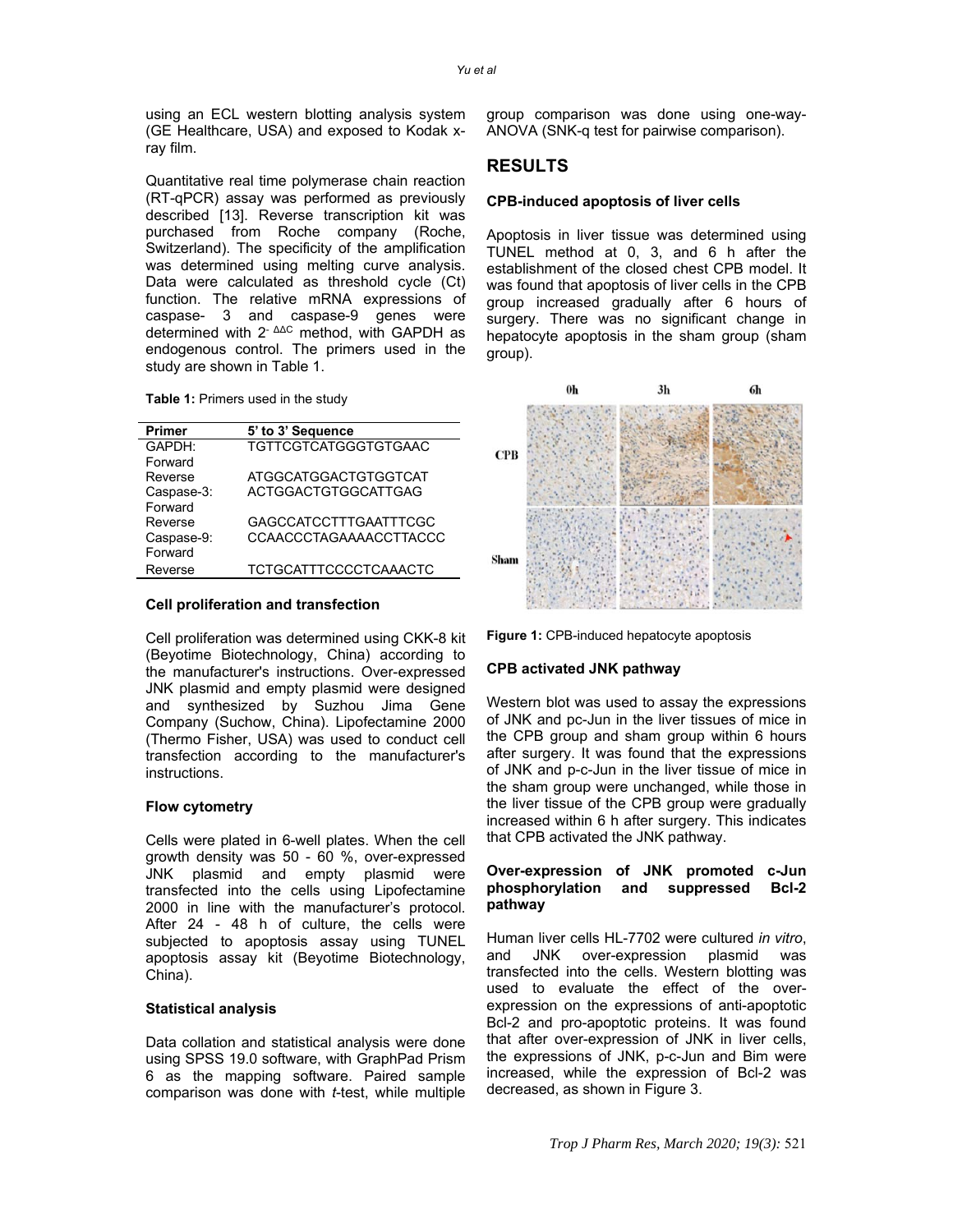using an ECL western blotting analysis system (GE Healthcare, USA) and exposed to Kodak xray film.

Quantitative real time polymerase chain reaction (RT-qPCR) assay was performed as previously described [13]. Reverse transcription kit was purchased from Roche company (Roche, Switzerland). The specificity of the amplification was determined using melting curve analysis. Data were calculated as threshold cycle (Ct) function. The relative mRNA expressions of caspase- 3 and caspase-9 genes were determined with 2<sup>- ΔΔC</sup> method, with GAPDH as endogenous control. The primers used in the study are shown in Table 1.

**Table 1:** Primers used in the study

| <b>Primer</b> | 5' to 3' Sequence             |
|---------------|-------------------------------|
| GAPDH:        | <b>TGTTCGTCATGGGTGTGAAC</b>   |
| Forward       |                               |
| Reverse       | <b>ATGGCATGGACTGTGGTCAT</b>   |
| Caspase-3:    | ACTGGACTGTGGCATTGAG           |
| Forward       |                               |
| Reverse       | <b>GAGCCATCCTTTGAATTTCGC</b>  |
| Caspase-9:    | <b>CCAACCCTAGAAAACCTTACCC</b> |
| Forward       |                               |
| Reverse       | <b>TCTGCATTTCCCCTCAAACTC</b>  |
|               |                               |

#### **Cell proliferation and transfection**

Cell proliferation was determined using CKK-8 kit (Beyotime Biotechnology, China) according to the manufacturer's instructions. Over-expressed JNK plasmid and empty plasmid were designed and synthesized by Suzhou Jima Gene Company (Suchow, China). Lipofectamine 2000 (Thermo Fisher, USA) was used to conduct cell transfection according to the manufacturer's instructions.

#### **Flow cytometry**

Cells were plated in 6-well plates. When the cell growth density was 50 - 60 %, over-expressed JNK plasmid and empty plasmid were transfected into the cells using Lipofectamine 2000 in line with the manufacturer's protocol. After 24 - 48 h of culture, the cells were subjected to apoptosis assay using TUNEL apoptosis assay kit (Beyotime Biotechnology, China).

#### **Statistical analysis**

Data collation and statistical analysis were done using SPSS 19.0 software, with GraphPad Prism 6 as the mapping software. Paired sample comparison was done with *t*-test, while multiple group comparison was done using one-way-ANOVA (SNK-q test for pairwise comparison).

# **RESULTS**

## **CPB-induced apoptosis of liver cells**

Apoptosis in liver tissue was determined using TUNEL method at 0, 3, and 6 h after the establishment of the closed chest CPB model. It was found that apoptosis of liver cells in the CPB group increased gradually after 6 hours of surgery. There was no significant change in hepatocyte apoptosis in the sham group (sham group).



**Figure 1:** CPB-induced hepatocyte apoptosis

#### **CPB activated JNK pathway**

Western blot was used to assay the expressions of JNK and pc-Jun in the liver tissues of mice in the CPB group and sham group within 6 hours after surgery. It was found that the expressions of JNK and p-c-Jun in the liver tissue of mice in the sham group were unchanged, while those in the liver tissue of the CPB group were gradually increased within 6 h after surgery. This indicates that CPB activated the JNK pathway.

## **Over-expression of JNK promoted c-Jun phosphorylation and suppressed Bcl-2 pathway**

Human liver cells HL-7702 were cultured *in vitro*, and JNK over-expression plasmid was transfected into the cells. Western blotting was used to evaluate the effect of the overexpression on the expressions of anti-apoptotic Bcl-2 and pro-apoptotic proteins. It was found that after over-expression of JNK in liver cells, the expressions of JNK, p-c-Jun and Bim were increased, while the expression of Bcl-2 was decreased, as shown in Figure 3.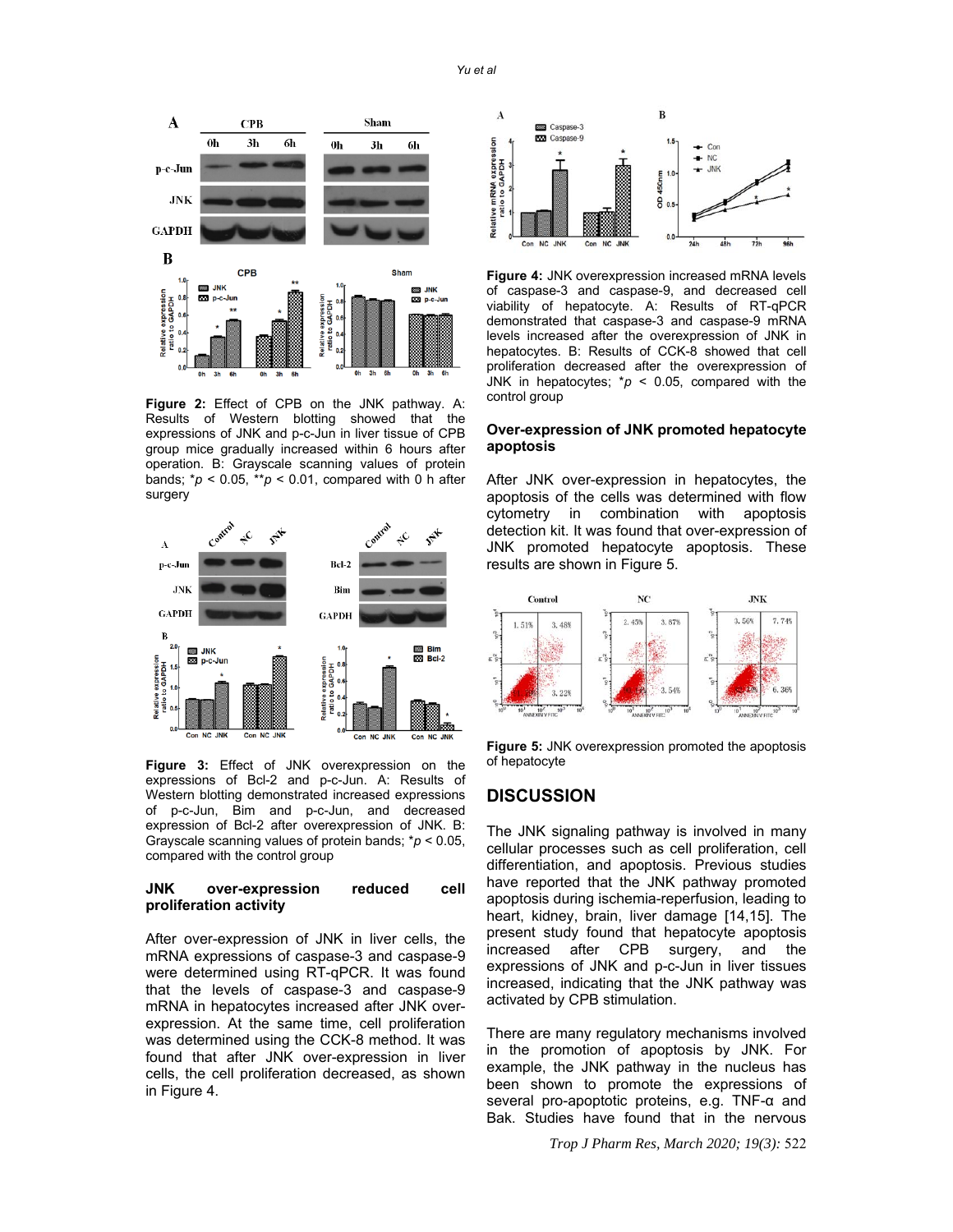

**Figure 2:** Effect of CPB on the JNK pathway. A: Results of Western blotting showed that the expressions of JNK and p-c-Jun in liver tissue of CPB group mice gradually increased within 6 hours after operation. B: Grayscale scanning values of protein bands; \**p* < 0.05, \*\**p* < 0.01, compared with 0 h after surgery



**Figure 3:** Effect of JNK overexpression on the expressions of Bcl-2 and p-c-Jun. A: Results of Western blotting demonstrated increased expressions of p-c-Jun, Bim and p-c-Jun, and decreased expression of Bcl-2 after overexpression of JNK. B: Grayscale scanning values of protein bands; \**p* < 0.05, compared with the control group

## **JNK over-expression reduced cell proliferation activity**

After over-expression of JNK in liver cells, the mRNA expressions of caspase-3 and caspase-9 were determined using RT-qPCR. It was found that the levels of caspase-3 and caspase-9 mRNA in hepatocytes increased after JNK overexpression. At the same time, cell proliferation was determined using the CCK-8 method. It was found that after JNK over-expression in liver cells, the cell proliferation decreased, as shown in Figure 4.



**Figure 4:** JNK overexpression increased mRNA levels of caspase-3 and caspase-9, and decreased cell viability of hepatocyte. A: Results of RT-qPCR demonstrated that caspase-3 and caspase-9 mRNA levels increased after the overexpression of JNK in hepatocytes. B: Results of CCK-8 showed that cell proliferation decreased after the overexpression of JNK in hepatocytes; \**p* < 0.05, compared with the control group

#### **Over-expression of JNK promoted hepatocyte apoptosis**

After JNK over-expression in hepatocytes, the apoptosis of the cells was determined with flow cytometry in combination with apoptosis detection kit. It was found that over-expression of JNK promoted hepatocyte apoptosis. These results are shown in Figure 5.



**Figure 5:** JNK overexpression promoted the apoptosis of hepatocyte

## **DISCUSSION**

The JNK signaling pathway is involved in many cellular processes such as cell proliferation, cell differentiation, and apoptosis. Previous studies have reported that the JNK pathway promoted apoptosis during ischemia-reperfusion, leading to heart, kidney, brain, liver damage [14,15]. The present study found that hepatocyte apoptosis increased after CPB surgery, and the expressions of JNK and p-c-Jun in liver tissues increased, indicating that the JNK pathway was activated by CPB stimulation.

There are many regulatory mechanisms involved in the promotion of apoptosis by JNK. For example, the JNK pathway in the nucleus has been shown to promote the expressions of several pro-apoptotic proteins, e.g. TNF-α and Bak. Studies have found that in the nervous

*Trop J Pharm Res, March 2020; 19(3):* 522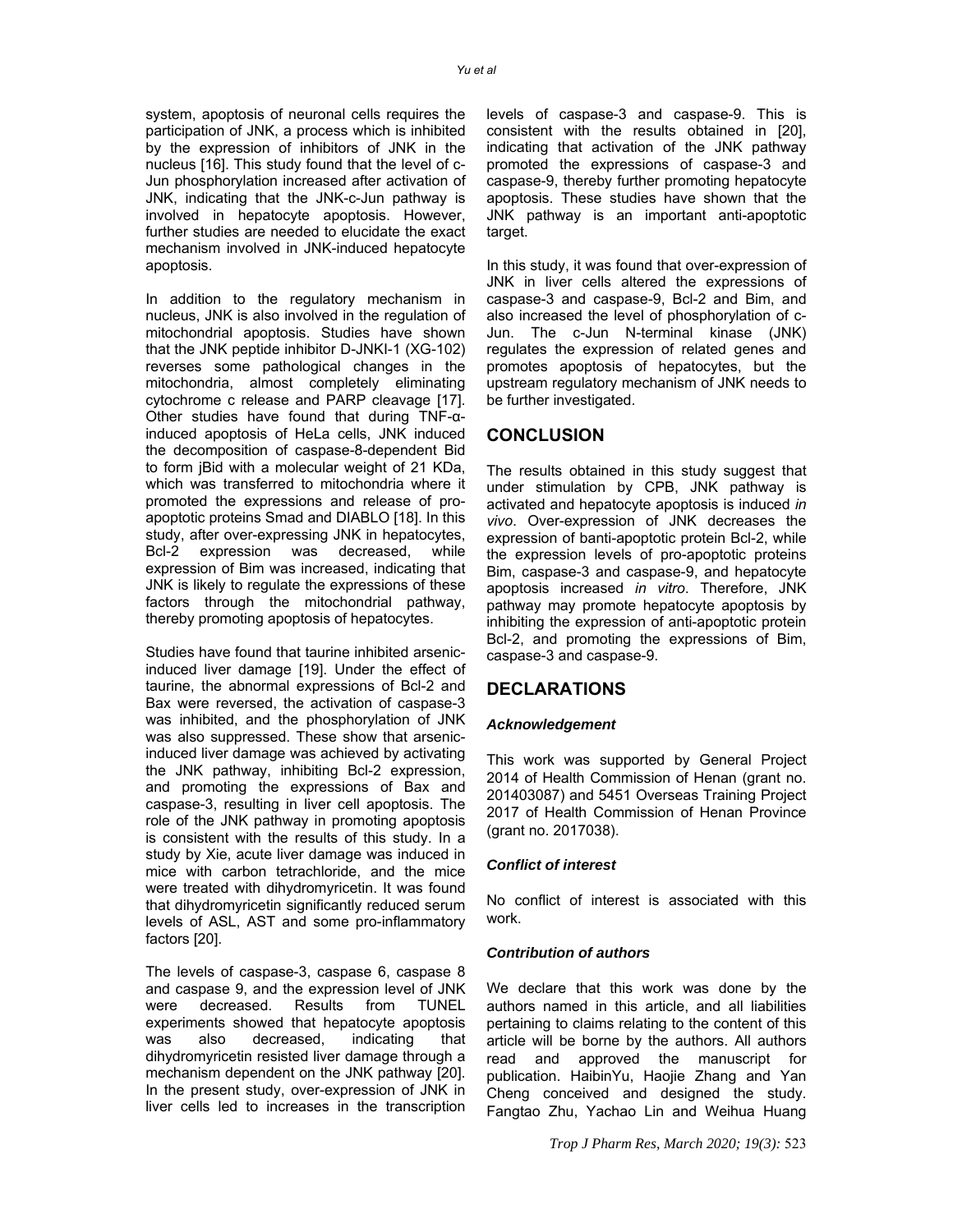system, apoptosis of neuronal cells requires the participation of JNK, a process which is inhibited by the expression of inhibitors of JNK in the nucleus [16]. This study found that the level of c-Jun phosphorylation increased after activation of JNK, indicating that the JNK-c-Jun pathway is involved in hepatocyte apoptosis. However, further studies are needed to elucidate the exact mechanism involved in JNK-induced hepatocyte apoptosis.

In addition to the regulatory mechanism in nucleus, JNK is also involved in the regulation of mitochondrial apoptosis. Studies have shown that the JNK peptide inhibitor D-JNKI-1 (XG-102) reverses some pathological changes in the mitochondria, almost completely eliminating cytochrome c release and PARP cleavage [17]. Other studies have found that during TNF-αinduced apoptosis of HeLa cells, JNK induced the decomposition of caspase-8-dependent Bid to form jBid with a molecular weight of 21 KDa, which was transferred to mitochondria where it promoted the expressions and release of proapoptotic proteins Smad and DIABLO [18]. In this study, after over-expressing JNK in hepatocytes, Bcl-2 expression was decreased, while expression of Bim was increased, indicating that JNK is likely to regulate the expressions of these factors through the mitochondrial pathway, thereby promoting apoptosis of hepatocytes.

Studies have found that taurine inhibited arsenicinduced liver damage [19]. Under the effect of taurine, the abnormal expressions of Bcl-2 and Bax were reversed, the activation of caspase-3 was inhibited, and the phosphorylation of JNK was also suppressed. These show that arsenicinduced liver damage was achieved by activating the JNK pathway, inhibiting Bcl-2 expression, and promoting the expressions of Bax and caspase-3, resulting in liver cell apoptosis. The role of the JNK pathway in promoting apoptosis is consistent with the results of this study. In a study by Xie, acute liver damage was induced in mice with carbon tetrachloride, and the mice were treated with dihydromyricetin. It was found that dihydromyricetin significantly reduced serum levels of ASL, AST and some pro-inflammatory factors [20].

The levels of caspase-3, caspase 6, caspase 8 and caspase 9, and the expression level of JNK were decreased. Results from TUNEL experiments showed that hepatocyte apoptosis was also decreased, indicating that dihydromyricetin resisted liver damage through a mechanism dependent on the JNK pathway [20]. In the present study, over-expression of JNK in liver cells led to increases in the transcription

levels of caspase-3 and caspase-9. This is consistent with the results obtained in [20], indicating that activation of the JNK pathway promoted the expressions of caspase-3 and caspase-9, thereby further promoting hepatocyte apoptosis. These studies have shown that the JNK pathway is an important anti-apoptotic target.

In this study, it was found that over-expression of JNK in liver cells altered the expressions of caspase-3 and caspase-9, Bcl-2 and Bim, and also increased the level of phosphorylation of c-Jun. The c-Jun N-terminal kinase (JNK) regulates the expression of related genes and promotes apoptosis of hepatocytes, but the upstream regulatory mechanism of JNK needs to be further investigated.

# **CONCLUSION**

The results obtained in this study suggest that under stimulation by CPB, JNK pathway is activated and hepatocyte apoptosis is induced *in vivo*. Over-expression of JNK decreases the expression of banti-apoptotic protein Bcl-2, while the expression levels of pro-apoptotic proteins Bim, caspase-3 and caspase-9, and hepatocyte apoptosis increased *in vitro*. Therefore, JNK pathway may promote hepatocyte apoptosis by inhibiting the expression of anti-apoptotic protein Bcl-2, and promoting the expressions of Bim, caspase-3 and caspase-9.

# **DECLARATIONS**

## *Acknowledgement*

This work was supported by General Project 2014 of Health Commission of Henan (grant no. 201403087) and 5451 Overseas Training Project 2017 of Health Commission of Henan Province (grant no. 2017038).

## *Conflict of interest*

No conflict of interest is associated with this work.

#### *Contribution of authors*

We declare that this work was done by the authors named in this article, and all liabilities pertaining to claims relating to the content of this article will be borne by the authors. All authors read and approved the manuscript for publication. HaibinYu, Haojie Zhang and Yan Cheng conceived and designed the study. Fangtao Zhu, Yachao Lin and Weihua Huang

*Trop J Pharm Res, March 2020; 19(3):* 523